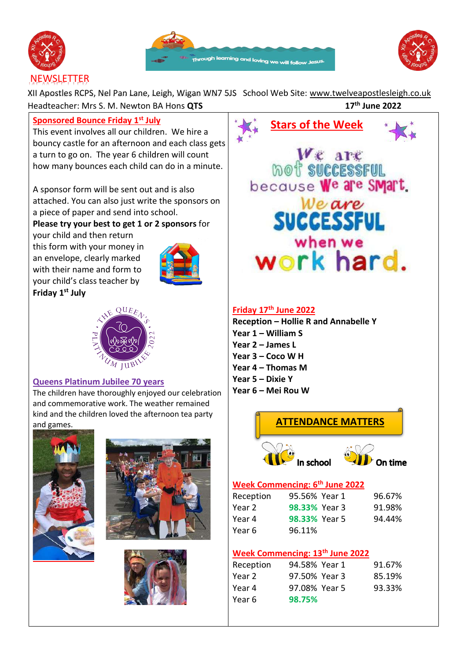





# **NEWSLETTER**

XII Apostles RCPS, Nel Pan Lane, Leigh, Wigan WN7 5JS School Web Site: [www.twelveapostlesleigh.co.uk](http://www.twelveapostlesleigh.co.uk/)  Headteacher: Mrs S. M. Newton BA Hons **QTS 17th June 2022**

## **Sponsored Bounce Friday 1st July**

This event involves all our children. We hire a bouncy castle for an afternoon and each class gets a turn to go on. The year 6 children will count how many bounces each child can do in a minute.

A sponsor form will be sent out and is also attached. You can also just write the sponsors on a piece of paper and send into school.

## **Please try your best to get 1 or 2 sponsors** for

your child and then return this form with your money in an envelope, clearly marked with their name and form to your child's class teacher by **Friday 1 st July** 





#### **Queens Platinum Jubilee 70 years**

The children have thoroughly enjoyed our celebration and commemorative work. The weather remained kind and the children loved the afternoon tea party and games.









## **Week Commencing: 13th June 2022**

| Reception | 94.58% Year 1 | 91.67% |
|-----------|---------------|--------|
| Year 2    | 97.50% Year 3 | 85.19% |
| Year 4    | 97.08% Year 5 | 93.33% |
| Year 6    | 98.75%        |        |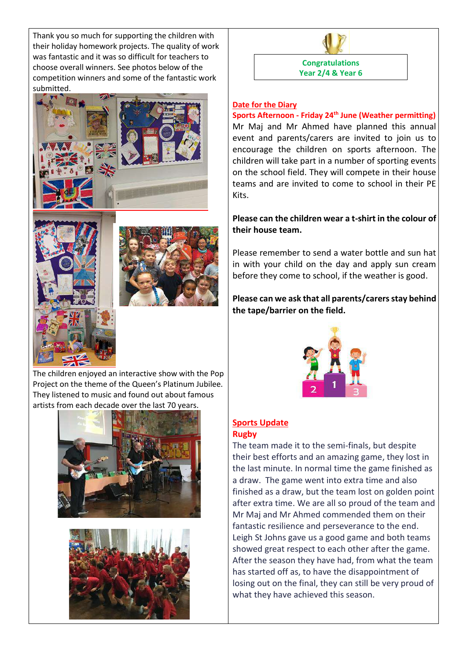Thank you so much for supporting the children with their holiday homework projects. The quality of work was fantastic and it was so difficult for teachers to choose overall winners. See photos below of the competition winners and some of the fantastic work submitted.







The children enjoyed an interactive show with the Pop Project on the theme of the Queen's Platinum Jubilee. They listened to music and found out about famous artists from each decade over the last 70 years.





#### **Date for the Diary**

**Sports Afternoon - Friday 24th June (Weather permitting)**  Mr Maj and Mr Ahmed have planned this annual event and parents/carers are invited to join us to encourage the children on sports afternoon. The children will take part in a number of sporting events on the school field. They will compete in their house teams and are invited to come to school in their PE Kits.

**Congratulations Year 2/4 & Year 6**

#### **Please can the children wear a t-shirt in the colour of their house team.**

Please remember to send a water bottle and sun hat in with your child on the day and apply sun cream before they come to school, if the weather is good.

### **Please can we ask that all parents/carers stay behind the tape/barrier on the field.**



#### **Sports Update Rugby**

The team made it to the semi-finals, but despite their best efforts and an amazing game, they lost in the last minute. In normal time the game finished as a draw. The game went into extra time and also finished as a draw, but the team lost on golden point after extra time. We are all so proud of the team and Mr Maj and Mr Ahmed commended them on their fantastic resilience and perseverance to the end. Leigh St Johns gave us a good game and both teams showed great respect to each other after the game. After the season they have had, from what the team has started off as, to have the disappointment of losing out on the final, they can still be very proud of what they have achieved this season.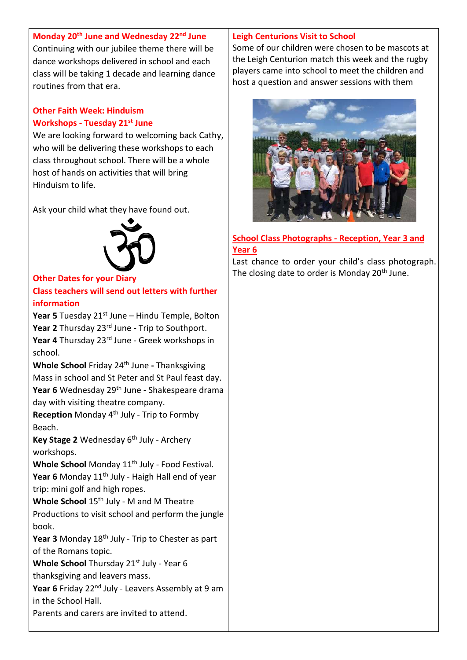# **Monday 20th June and Wednesday 22nd June** Continuing with our jubilee theme there will be dance workshops delivered in school and each class will be taking 1 decade and learning dance routines from that era.

# **Other Faith Week: Hinduism Workshops - Tuesday 21st June**

We are looking forward to welcoming back Cathy, who will be delivering these workshops to each class throughout school. There will be a whole host of hands on activities that will bring Hinduism to life.

Ask your child what they have found out.



## **Other Dates for your Diary**

**Class teachers will send out letters with further information** 

**Year 5** Tuesday 21<sup>st</sup> June – Hindu Temple, Bolton Year 2 Thursday 23<sup>rd</sup> June - Trip to Southport. **Year 4** Thursday 23rd June - Greek workshops in school.

**Whole School** Friday 24th June **-** Thanksgiving Mass in school and St Peter and St Paul feast day. Year 6 Wednesday 29<sup>th</sup> June - Shakespeare drama day with visiting theatre company.

Reception Monday 4<sup>th</sup> July - Trip to Formby Beach.

Key Stage 2 Wednesday 6<sup>th</sup> July - Archery workshops.

Whole School Monday 11<sup>th</sup> July - Food Festival. Year 6 Monday 11<sup>th</sup> July - Haigh Hall end of year trip: mini golf and high ropes.

Whole School 15<sup>th</sup> July - M and M Theatre Productions to visit school and perform the jungle book.

Year 3 Monday 18<sup>th</sup> July - Trip to Chester as part of the Romans topic.

**Whole School** Thursday 21<sup>st</sup> July - Year 6 thanksgiving and leavers mass.

**Year 6** Friday 22<sup>nd</sup> July - Leavers Assembly at 9 am in the School Hall.

Parents and carers are invited to attend.

# **Leigh Centurions Visit to School**

Some of our children were chosen to be mascots at the Leigh Centurion match this week and the rugby players came into school to meet the children and host a question and answer sessions with them



## **School Class Photographs - Reception, Year 3 and Year 6**

Last chance to order your child's class photograph. The closing date to order is Monday 20<sup>th</sup> June.